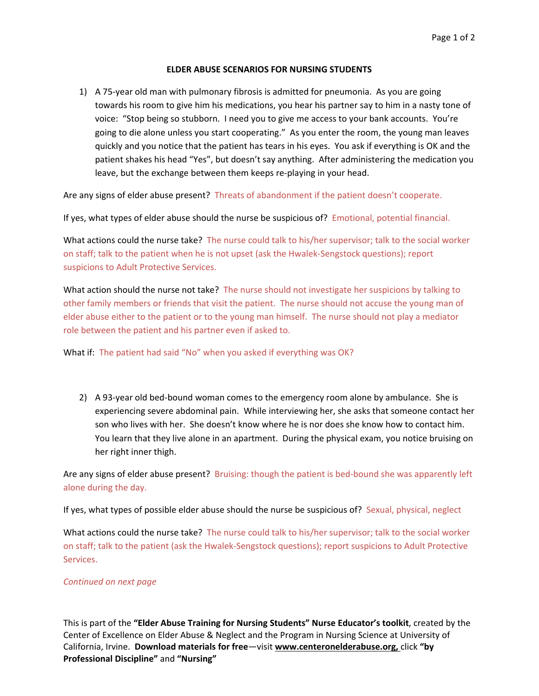## **ELDER ABUSE SCENARIOS FOR NURSING STUDENTS**

1) A 75‐year old man with pulmonary fibrosis is admitted for pneumonia. As you are going towards his room to give him his medications, you hear his partner say to him in a nasty tone of voice: "Stop being so stubborn. I need you to give me access to your bank accounts. You're going to die alone unless you start cooperating." As you enter the room, the young man leaves quickly and you notice that the patient has tears in his eyes. You ask if everything is OK and the patient shakes his head "Yes", but doesn't say anything. After administering the medication you leave, but the exchange between them keeps re-playing in your head.

Are any signs of elder abuse present? Threats of abandonment if the patient doesn't cooperate.

If yes, what types of elder abuse should the nurse be suspicious of? Emotional, potential financial.

What actions could the nurse take? The nurse could talk to his/her supervisor; talk to the social worker on staff; talk to the patient when he is not upset (ask the Hwalek‐Sengstock questions); report suspicions to Adult Protective Services.

What action should the nurse not take? The nurse should not investigate her suspicions by talking to other family members or friends that visit the patient. The nurse should not accuse the young man of elder abuse either to the patient or to the young man himself. The nurse should not play a mediator role between the patient and his partner even if asked to.

What if: The patient had said "No" when you asked if everything was OK?

2) A 93-year old bed-bound woman comes to the emergency room alone by ambulance. She is experiencing severe abdominal pain. While interviewing her, she asks that someone contact her son who lives with her. She doesn't know where he is nor does she know how to contact him. You learn that they live alone in an apartment. During the physical exam, you notice bruising on her right inner thigh.

Are any signs of elder abuse present? Bruising: though the patient is bed-bound she was apparently left alone during the day.

If yes, what types of possible elder abuse should the nurse be suspicious of? Sexual, physical, neglect

What actions could the nurse take? The nurse could talk to his/her supervisor; talk to the social worker on staff; talk to the patient (ask the Hwalek‐Sengstock questions); report suspicions to Adult Protective Services.

## *Continued on next page*

This is part of the **"Elder Abuse Training for Nursing Students" Nurse Educator's toolkit**, created by the Center of Excellence on Elder Abuse & Neglect and the Program in Nursing Science at University of California, Irvine. **Download materials for free**—visit **www.centeronelderabuse.org,** click **"by Professional Discipline"** and **"Nursing"**